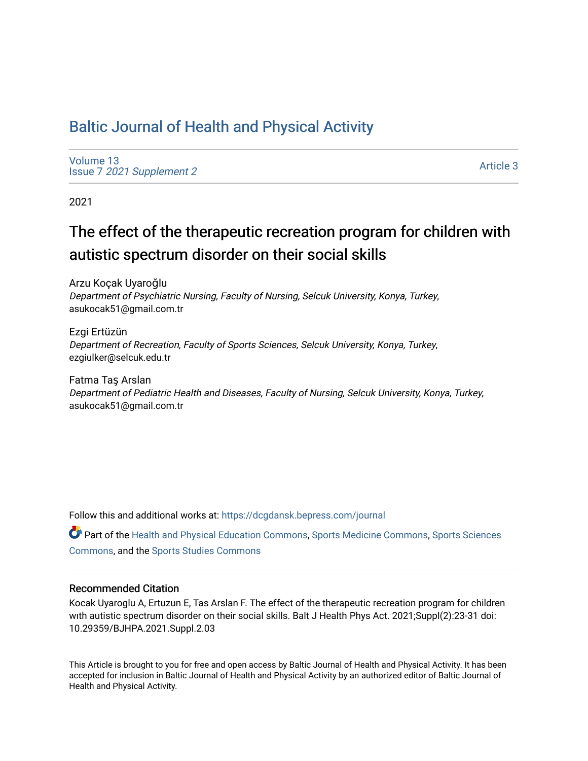# [Baltic Journal of Health and Physical Activity](https://dcgdansk.bepress.com/journal)

[Volume 13](https://dcgdansk.bepress.com/journal/vol13) Issue 7 [2021 Supplement 2](https://dcgdansk.bepress.com/journal/vol13/iss7) 

[Article 3](https://dcgdansk.bepress.com/journal/vol13/iss7/3) 

2021

# The effect of the therapeutic recreation program for children with autistic spectrum disorder on their social skills

Arzu Koçak Uyaroğlu Department of Psychiatric Nursing, Faculty of Nursing, Selcuk University, Konya, Turkey, asukocak51@gmail.com.tr

Ezgi Ertüzün Department of Recreation, Faculty of Sports Sciences, Selcuk University, Konya, Turkey, ezgiulker@selcuk.edu.tr

Fatma Taş Arslan Department of Pediatric Health and Diseases, Faculty of Nursing, Selcuk University, Konya, Turkey, asukocak51@gmail.com.tr

Follow this and additional works at: [https://dcgdansk.bepress.com/journal](https://dcgdansk.bepress.com/journal?utm_source=dcgdansk.bepress.com%2Fjournal%2Fvol13%2Fiss7%2F3&utm_medium=PDF&utm_campaign=PDFCoverPages)

Part of the [Health and Physical Education Commons](http://network.bepress.com/hgg/discipline/1327?utm_source=dcgdansk.bepress.com%2Fjournal%2Fvol13%2Fiss7%2F3&utm_medium=PDF&utm_campaign=PDFCoverPages), [Sports Medicine Commons,](http://network.bepress.com/hgg/discipline/1331?utm_source=dcgdansk.bepress.com%2Fjournal%2Fvol13%2Fiss7%2F3&utm_medium=PDF&utm_campaign=PDFCoverPages) [Sports Sciences](http://network.bepress.com/hgg/discipline/759?utm_source=dcgdansk.bepress.com%2Fjournal%2Fvol13%2Fiss7%2F3&utm_medium=PDF&utm_campaign=PDFCoverPages) [Commons](http://network.bepress.com/hgg/discipline/759?utm_source=dcgdansk.bepress.com%2Fjournal%2Fvol13%2Fiss7%2F3&utm_medium=PDF&utm_campaign=PDFCoverPages), and the [Sports Studies Commons](http://network.bepress.com/hgg/discipline/1198?utm_source=dcgdansk.bepress.com%2Fjournal%2Fvol13%2Fiss7%2F3&utm_medium=PDF&utm_campaign=PDFCoverPages) 

#### Recommended Citation

Kocak Uyaroglu A, Ertuzun E, Tas Arslan F. The effect of the therapeutic recreation program for children wıth autistic spectrum disorder on their social skills. Balt J Health Phys Act. 2021;Suppl(2):23-31 doi: 10.29359/BJHPA.2021.Suppl.2.03

This Article is brought to you for free and open access by Baltic Journal of Health and Physical Activity. It has been accepted for inclusion in Baltic Journal of Health and Physical Activity by an authorized editor of Baltic Journal of Health and Physical Activity.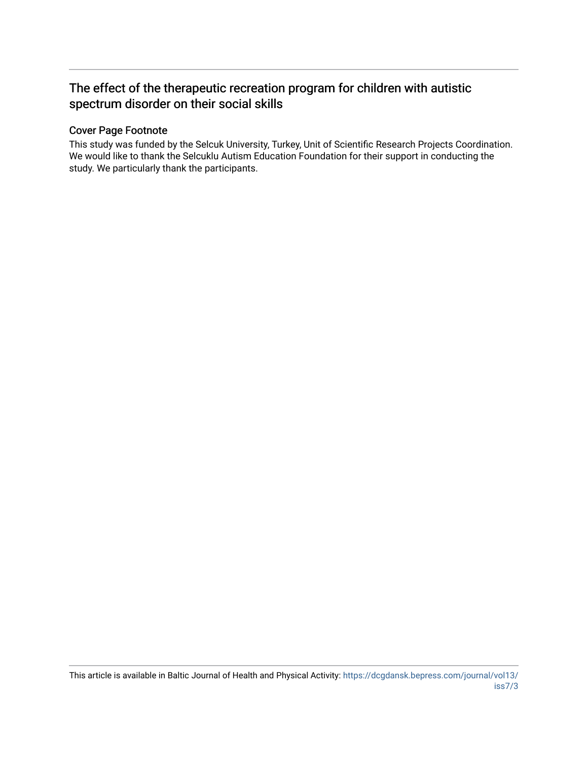# The effect of the therapeutic recreation program for children with autistic spectrum disorder on their social skills

## Cover Page Footnote

This study was funded by the Selcuk University, Turkey, Unit of Scientific Research Projects Coordination. We would like to thank the Selcuklu Autism Education Foundation for their support in conducting the study. We particularly thank the participants.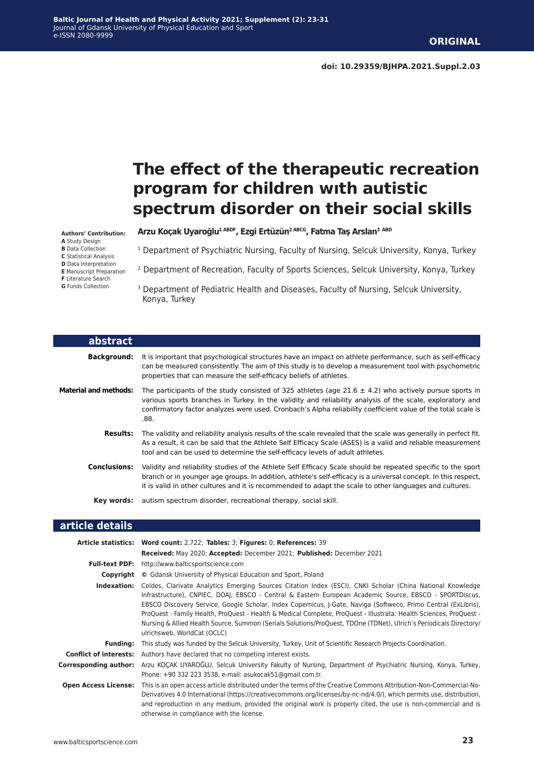# **The effect of the therapeutic recreation program for children wıth autistic spectrum disorder on their social skills**

**Arzu Koçak Uyaroğlu1 ABDF, Ezgi Ertüzün2 ABCG, Fatma Taş Arslan<sup>3</sup> ABD**

<sup>1</sup> Department of Psychiatric Nursing, Faculty of Nursing, Selcuk University, Konya, Turkey

- 2 Department of Recreation, Faculty of Sports Sciences, Selcuk University, Konya, Turkey
- <sup>3</sup> Department of Pediatric Health and Diseases, Faculty of Nursing, Selcuk University, Konya, Turkey

| abstract                     |                                                                                                                                                                                                                                                                                                                                                 |
|------------------------------|-------------------------------------------------------------------------------------------------------------------------------------------------------------------------------------------------------------------------------------------------------------------------------------------------------------------------------------------------|
| <b>Background:</b>           | It is important that psychological structures have an impact on athlete performance, such as self-efficacy<br>can be measured consistently. The aim of this study is to develop a measurement tool with psychometric<br>properties that can measure the self-efficacy beliefs of athletes.                                                      |
| <b>Material and methods:</b> | The participants of the study consisted of 325 athletes (age 21.6 $\pm$ 4.2) who actively pursue sports in<br>various sports branches in Turkey. In the validity and reliability analysis of the scale, exploratory and<br>confirmatory factor analyzes were used. Cronbach's Alpha reliability coefficient value of the total scale is<br>.88. |
| <b>Results:</b>              | The validity and reliability analysis results of the scale revealed that the scale was generally in perfect fit.<br>As a result, it can be said that the Athlete Self Efficacy Scale (ASES) is a valid and reliable measurement<br>tool and can be used to determine the self-efficacy levels of adult athletes.                                |
| <b>Conclusions:</b>          | Validity and reliability studies of the Athlete Self Efficacy Scale should be repeated specific to the sport<br>branch or in younger age groups. In addition, athlete's self-efficacy is a universal concept. In this respect,<br>it is valid in other cultures and it is recommended to adapt the scale to other languages and cultures.       |
| Key words:                   | autism spectrum disorder, recreational therapy, social skill.                                                                                                                                                                                                                                                                                   |
| article details              |                                                                                                                                                                                                                                                                                                                                                 |

|                               | Article statistics: Word count: 2,722; Tables: 3; Figures: 0; References: 39                                                                                                                                                                                                                                                                                                                                                                                                                                                                                                                                       |  |  |  |  |
|-------------------------------|--------------------------------------------------------------------------------------------------------------------------------------------------------------------------------------------------------------------------------------------------------------------------------------------------------------------------------------------------------------------------------------------------------------------------------------------------------------------------------------------------------------------------------------------------------------------------------------------------------------------|--|--|--|--|
|                               | Received: May 2020; Accepted: December 2021; Published: December 2021                                                                                                                                                                                                                                                                                                                                                                                                                                                                                                                                              |  |  |  |  |
| <b>Full-text PDF:</b>         | http://www.balticsportscience.com                                                                                                                                                                                                                                                                                                                                                                                                                                                                                                                                                                                  |  |  |  |  |
| Copyright                     | © Gdansk University of Physical Education and Sport, Poland                                                                                                                                                                                                                                                                                                                                                                                                                                                                                                                                                        |  |  |  |  |
| Indexation:                   | Celdes, Clarivate Analytics Emerging Sources Citation Index (ESCI), CNKI Scholar (China National Knowledge<br>Infrastructure), CNPIEC, DOAJ, EBSCO - Central & Eastern European Academic Source, EBSCO - SPORTDiscus,<br>EBSCO Discovery Service, Google Scholar, Index Copernicus, J-Gate, Naviga (Softweco, Primo Central (ExLibris),<br>ProQuest - Family Health, ProQuest - Health & Medical Complete, ProQuest - Illustrata: Health Sciences, ProQuest -<br>Nursing & Allied Health Source, Summon (Serials Solutions/ProQuest, TDOne (TDNet), Ulrich's Periodicals Directory/<br>ulrichsweb, WorldCat (OCLC) |  |  |  |  |
| <b>Funding:</b>               | This study was funded by the Selcuk University, Turkey, Unit of Scientific Research Projects Coordination.                                                                                                                                                                                                                                                                                                                                                                                                                                                                                                         |  |  |  |  |
| <b>Conflict of interests:</b> | Authors have declared that no competing interest exists.                                                                                                                                                                                                                                                                                                                                                                                                                                                                                                                                                           |  |  |  |  |
|                               | Corresponding author: Arzu KOÇAK UYAROĞLU, Selcuk University Fakulty of Nursing, Department of Psychiatric Nursing, Konya, Turkey,<br>Phone: +90 332 223 3538, e-mail: asukocak51@gmail.com.tr.                                                                                                                                                                                                                                                                                                                                                                                                                    |  |  |  |  |
| <b>Open Access License:</b>   | This is an open access article distributed under the terms of the Creative Commons Attribution-Non-Commercial-No-<br>Derivatives 4.0 International (https://creativecommons.org/licenses/by-nc-nd/4.0/), which permits use, distribution,<br>and reproduction in any medium, provided the original work is properly cited, the use is non-commercial and is<br>otherwise in compliance with the license.                                                                                                                                                                                                           |  |  |  |  |

**Authors' Contribution: A** Study Design **B** Data Collection **C** Statistical Analysis

**D** Data Interpretation **E** Manuscript Preparation

- **F** Literature Search
- **G** Funds Collection

L

Г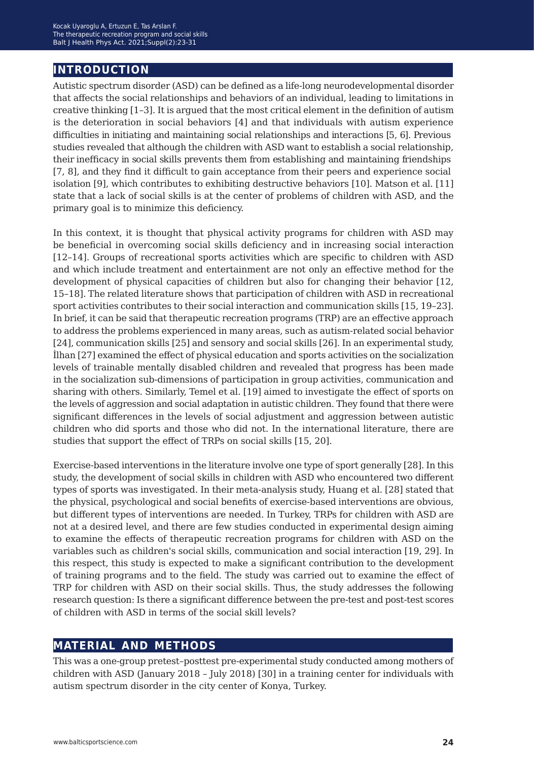## **introduction**

Autistic spectrum disorder (ASD) can be defined as a life-long neurodevelopmental disorder that affects the social relationships and behaviors of an individual, leading to limitations in creative thinking [1–3]. It is argued that the most critical element in the definition of autism is the deterioration in social behaviors [4] and that individuals with autism experience difficulties in initiating and maintaining social relationships and interactions [5, 6]. Previous studies revealed that although the children with ASD want to establish a social relationship, their inefficacy in social skills prevents them from establishing and maintaining friendships [7, 8], and they find it difficult to gain acceptance from their peers and experience social isolation [9], which contributes to exhibiting destructive behaviors [10]. Matson et al. [11] state that a lack of social skills is at the center of problems of children with ASD, and the primary goal is to minimize this deficiency.

In this context, it is thought that physical activity programs for children with ASD may be beneficial in overcoming social skills deficiency and in increasing social interaction [12–14]. Groups of recreational sports activities which are specific to children with ASD and which include treatment and entertainment are not only an effective method for the development of physical capacities of children but also for changing their behavior [12, 15–18]. The related literature shows that participation of children with ASD in recreational sport activities contributes to their social interaction and communication skills [15, 19–23]. In brief, it can be said that therapeutic recreation programs (TRP) are an effective approach to address the problems experienced in many areas, such as autism-related social behavior [24], communication skills [25] and sensory and social skills [26]. In an experimental study, İlhan [27] examined the effect of physical education and sports activities on the socialization levels of trainable mentally disabled children and revealed that progress has been made in the socialization sub-dimensions of participation in group activities, communication and sharing with others. Similarly, Temel et al. [19] aimed to investigate the effect of sports on the levels of aggression and social adaptation in autistic children. They found that there were significant differences in the levels of social adjustment and aggression between autistic children who did sports and those who did not. In the international literature, there are studies that support the effect of TRPs on social skills [15, 20].

Exercise-based interventions in the literature involve one type of sport generally [28]. In this study, the development of social skills in children with ASD who encountered two different types of sports was investigated. In their meta-analysis study, Huang et al. [28] stated that the physical, psychological and social benefits of exercise-based interventions are obvious, but different types of interventions are needed. In Turkey, TRPs for children with ASD are not at a desired level, and there are few studies conducted in experimental design aiming to examine the effects of therapeutic recreation programs for children with ASD on the variables such as children's social skills, communication and social interaction [19, 29]. In this respect, this study is expected to make a significant contribution to the development of training programs and to the field. The study was carried out to examine the effect of TRP for children with ASD on their social skills. Thus, the study addresses the following research question: Is there a significant difference between the pre-test and post-test scores of children with ASD in terms of the social skill levels?

## **material and methods**

This was a one-group pretest–posttest pre-experimental study conducted among mothers of children with ASD (January 2018 – July 2018) [30] in a training center for individuals with autism spectrum disorder in the city center of Konya, Turkey.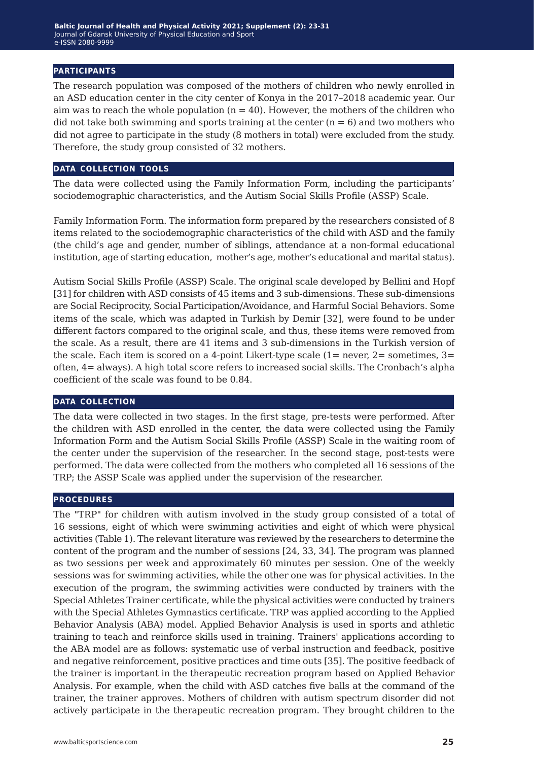#### **participants**

The research population was composed of the mothers of children who newly enrolled in an ASD education center in the city center of Konya in the 2017–2018 academic year. Our aim was to reach the whole population  $(n = 40)$ . However, the mothers of the children who did not take both swimming and sports training at the center  $(n = 6)$  and two mothers who did not agree to participate in the study (8 mothers in total) were excluded from the study. Therefore, the study group consisted of 32 mothers.

#### **data collection tools**

The data were collected using the Family Information Form, including the participants' sociodemographic characteristics, and the Autism Social Skills Profile (ASSP) Scale.

Family Information Form. The information form prepared by the researchers consisted of 8 items related to the sociodemographic characteristics of the child with ASD and the family (the child's age and gender, number of siblings, attendance at a non-formal educational institution, age of starting education, mother's age, mother's educational and marital status).

Autism Social Skills Profile (ASSP) Scale. The original scale developed by Bellini and Hopf [31] for children with ASD consists of 45 items and 3 sub-dimensions. These sub-dimensions are Social Reciprocity, Social Participation/Avoidance, and Harmful Social Behaviors. Some items of the scale, which was adapted in Turkish by Demir [32], were found to be under different factors compared to the original scale, and thus, these items were removed from the scale. As a result, there are 41 items and 3 sub-dimensions in the Turkish version of the scale. Each item is scored on a 4-point Likert-type scale  $(1=$  never,  $2=$  sometimes,  $3=$ often, 4= always). A high total score refers to increased social skills. The Cronbach's alpha coefficient of the scale was found to be 0.84.

#### **data collection**

The data were collected in two stages. In the first stage, pre-tests were performed. After the children with ASD enrolled in the center, the data were collected using the Family Information Form and the Autism Social Skills Profile (ASSP) Scale in the waiting room of the center under the supervision of the researcher. In the second stage, post-tests were performed. The data were collected from the mothers who completed all 16 sessions of the TRP; the ASSP Scale was applied under the supervision of the researcher.

#### **procedures**

The "TRP" for children with autism involved in the study group consisted of a total of 16 sessions, eight of which were swimming activities and eight of which were physical activities (Table 1). The relevant literature was reviewed by the researchers to determine the content of the program and the number of sessions [24, 33, 34]. The program was planned as two sessions per week and approximately 60 minutes per session. One of the weekly sessions was for swimming activities, while the other one was for physical activities. In the execution of the program, the swimming activities were conducted by trainers with the Special Athletes Trainer certificate, while the physical activities were conducted by trainers with the Special Athletes Gymnastics certificate. TRP was applied according to the Applied Behavior Analysis (ABA) model. Applied Behavior Analysis is used in sports and athletic training to teach and reinforce skills used in training. Trainers' applications according to the ABA model are as follows: systematic use of verbal instruction and feedback, positive and negative reinforcement, positive practices and time outs [35]. The positive feedback of the trainer is important in the therapeutic recreation program based on Applied Behavior Analysis. For example, when the child with ASD catches five balls at the command of the trainer, the trainer approves. Mothers of children with autism spectrum disorder did not actively participate in the therapeutic recreation program. They brought children to the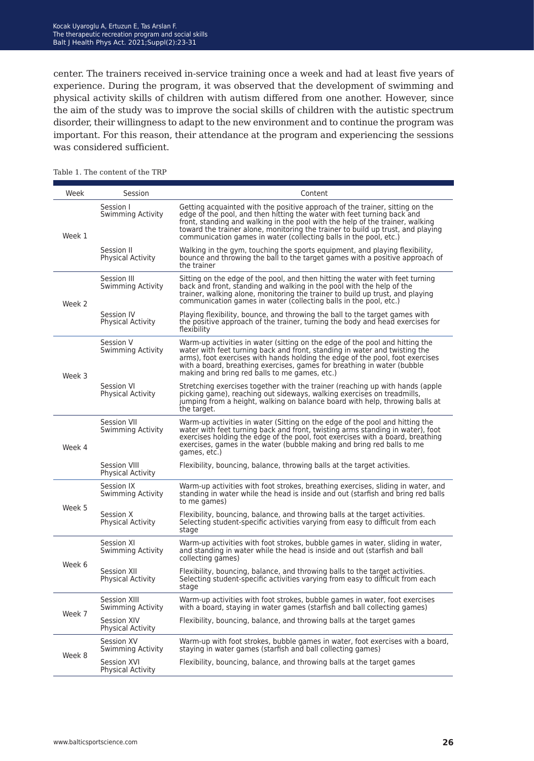center. The trainers received in-service training once a week and had at least five years of experience. During the program, it was observed that the development of swimming and physical activity skills of children with autism differed from one another. However, since the aim of the study was to improve the social skills of children with the autistic spectrum disorder, their willingness to adapt to the new environment and to continue the program was important. For this reason, their attendance at the program and experiencing the sessions was considered sufficient.

| Week   | Session                                         | Content                                                                                                                                                                                                                                                                                                                                                                                          |  |  |
|--------|-------------------------------------------------|--------------------------------------------------------------------------------------------------------------------------------------------------------------------------------------------------------------------------------------------------------------------------------------------------------------------------------------------------------------------------------------------------|--|--|
| Week 1 | Session I<br>Swimming Activity                  | Getting acquainted with the positive approach of the trainer, sitting on the<br>edge of the pool, and then hitting the water with feet turning back and<br>front, standing and walking in the pool with the help of the trainer, walking<br>toward the trainer alone, monitoring the trainer to build up trust, and playing<br>communication games in water (collecting balls in the pool, etc.) |  |  |
|        | Session II<br><b>Physical Activity</b>          | Walking in the gym, touching the sports equipment, and playing flexibility,<br>bounce and throwing the ball to the target games with a positive approach of<br>the trainer                                                                                                                                                                                                                       |  |  |
| Week 2 | Session III<br>Swimming Activity                | Sitting on the edge of the pool, and then hitting the water with feet turning<br>back and front, standing and walking in the pool with the help of the<br>trainer, walking alone, monitoring the trainer to build up trust, and playing<br>communication games in water (collecting balls in the pool, etc.)                                                                                     |  |  |
|        | Session IV<br>Physical Activity                 | Playing flexibility, bounce, and throwing the ball to the target games with<br>the positive approach of the trainer, turning the body and head exercises for<br>flexibility                                                                                                                                                                                                                      |  |  |
| Week 3 | Session V<br>Swimming Activity                  | Warm-up activities in water (sitting on the edge of the pool and hitting the<br>water with feet turning back and front, standing in water and twisting the<br>arms), foot exercises with hands holding the edge of the pool, foot exercises<br>with a board, breathing exercises, games for breathing in water (bubble<br>making and bring red balls to me games, etc.)                          |  |  |
|        | Session VI<br><b>Physical Activity</b>          | Stretching exercises together with the trainer (reaching up with hands (apple<br>picking game), reaching out sideways, walking exercises on treadmills,<br>jumping from a height, walking on balance board with help, throwing balls at<br>the target.                                                                                                                                           |  |  |
| Week 4 | Session VII<br>Swimming Activity                | Warm-up activities in water (Sitting on the edge of the pool and hitting the<br>water with feet turning back and front, twisting arms standing in water), foot<br>exercises holding the edge of the pool, foot exercises with a board, breathing<br>exercises, games in the water (bubble making and bring red balls to me<br>games, etc.)                                                       |  |  |
|        | <b>Session VIII</b><br><b>Physical Activity</b> | Flexibility, bouncing, balance, throwing balls at the target activities.                                                                                                                                                                                                                                                                                                                         |  |  |
| Week 5 | Session IX<br>Swimming Activity                 | Warm-up activities with foot strokes, breathing exercises, sliding in water, and<br>standing in water while the head is inside and out (starfish and bring red balls<br>to me games)                                                                                                                                                                                                             |  |  |
|        | Session X<br>Physical Activity                  | Flexibility, bouncing, balance, and throwing balls at the target activities.<br>Selecting student-specific activities varying from easy to difficult from each<br>stage                                                                                                                                                                                                                          |  |  |
| Week 6 | Session XI<br>Swimming Activity                 | Warm-up activities with foot strokes, bubble games in water, sliding in water,<br>and standing in water while the head is inside and out (starfish and ball<br>collecting games)                                                                                                                                                                                                                 |  |  |
|        | Session XII<br><b>Physical Activity</b>         | Flexibility, bouncing, balance, and throwing balls to the target activities.<br>Selecting student-specific activities varying from easy to difficult from each<br>stage                                                                                                                                                                                                                          |  |  |
| Week 7 | Session XIII<br>Swimming Activity               | Warm-up activities with foot strokes, bubble games in water, foot exercises<br>with a board, staying in water games (starfish and ball collecting games)                                                                                                                                                                                                                                         |  |  |
|        | <b>Session XIV</b><br><b>Physical Activity</b>  | Flexibility, bouncing, balance, and throwing balls at the target games                                                                                                                                                                                                                                                                                                                           |  |  |
| Week 8 | Session XV<br>Swimming Activity                 | Warm-up with foot strokes, bubble games in water, foot exercises with a board,<br>staying in water games (starfish and ball collecting games)                                                                                                                                                                                                                                                    |  |  |
|        | Session XVI<br><b>Physical Activity</b>         | Flexibility, bouncing, balance, and throwing balls at the target games                                                                                                                                                                                                                                                                                                                           |  |  |

Table 1. The content of the TRP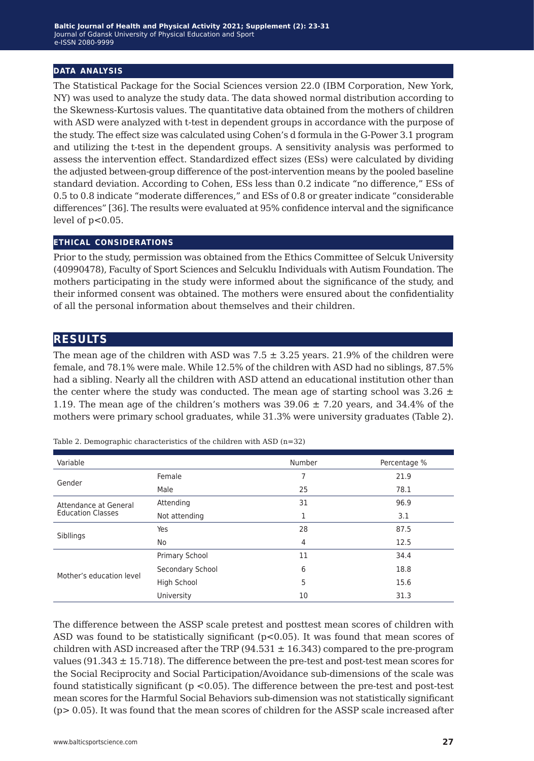#### **data analysis**

The Statistical Package for the Social Sciences version 22.0 (IBM Corporation, New York, NY) was used to analyze the study data. The data showed normal distribution according to the Skewness-Kurtosis values. The quantitative data obtained from the mothers of children with ASD were analyzed with t-test in dependent groups in accordance with the purpose of the study. The effect size was calculated using Cohen's d formula in the G-Power 3.1 program and utilizing the t-test in the dependent groups. A sensitivity analysis was performed to assess the intervention effect. Standardized effect sizes (ESs) were calculated by dividing the adjusted between-group difference of the post-intervention means by the pooled baseline standard deviation. According to Cohen, ESs less than 0.2 indicate "no difference," ESs of 0.5 to 0.8 indicate "moderate differences," and ESs of 0.8 or greater indicate "considerable differences" [36]. The results were evaluated at 95% confidence interval and the significance level of  $p<0.05$ .

#### **ethical considerations**

Prior to the study, permission was obtained from the Ethics Committee of Selcuk University (40990478), Faculty of Sport Sciences and Selcuklu Individuals with Autism Foundation. The mothers participating in the study were informed about the significance of the study, and their informed consent was obtained. The mothers were ensured about the confidentiality of all the personal information about themselves and their children.

## **results**

The mean age of the children with ASD was  $7.5 \pm 3.25$  years. 21.9% of the children were female, and 78.1% were male. While 12.5% of the children with ASD had no siblings, 87.5% had a sibling. Nearly all the children with ASD attend an educational institution other than the center where the study was conducted. The mean age of starting school was 3.26  $\pm$ 1.19. The mean age of the children's mothers was  $39.06 \pm 7.20$  years, and  $34.4\%$  of the mothers were primary school graduates, while 31.3% were university graduates (Table 2).

| Variable                 |                  | Number | Percentage % |
|--------------------------|------------------|--------|--------------|
| Gender                   | Female           |        | 21.9         |
|                          | Male             | 25     | 78.1         |
| Attendance at General    | Attending        | 31     | 96.9         |
| <b>Education Classes</b> | Not attending    | 1      | 3.1          |
| Sibllings                | Yes              | 28     | 87.5         |
|                          | No.              | 4      | 12.5         |
|                          | Primary School   | 11     | 34.4         |
| Mother's education level | Secondary School | 6      | 18.8         |
|                          | High School      | 5      | 15.6         |
|                          | University       | 10     | 31.3         |

Table 2. Demographic characteristics of the children with ASD (n=32)

The difference between the ASSP scale pretest and posttest mean scores of children with ASD was found to be statistically significant  $(p<0.05)$ . It was found that mean scores of children with ASD increased after the TRP  $(94.531 \pm 16.343)$  compared to the pre-program values (91.343  $\pm$  15.718). The difference between the pre-test and post-test mean scores for the Social Reciprocity and Social Participation/Avoidance sub-dimensions of the scale was found statistically significant  $(p < 0.05)$ . The difference between the pre-test and post-test mean scores for the Harmful Social Behaviors sub-dimension was not statistically significant (p> 0.05). It was found that the mean scores of children for the ASSP scale increased after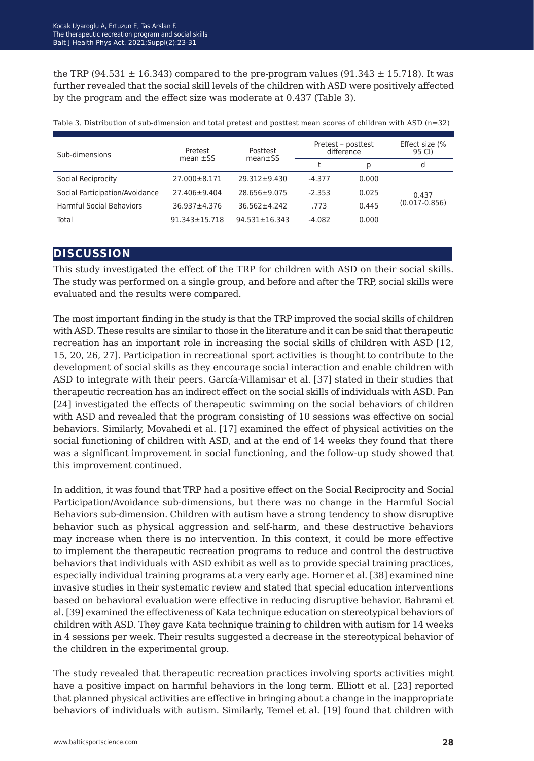the TRP (94.531  $\pm$  16.343) compared to the pre-program values (91.343  $\pm$  15.718). It was further revealed that the social skill levels of the children with ASD were positively affected by the program and the effect size was moderate at 0.437 (Table 3).

| Sub-dimensions                  | Pretest<br>mean $\pm$ SS | Posttest<br>$mean ±$ SS | Pretest – posttest<br>difference |       | Effect size (%<br>95 CI) |
|---------------------------------|--------------------------|-------------------------|----------------------------------|-------|--------------------------|
|                                 |                          |                         |                                  | D     | d                        |
| Social Reciprocity              | 27.000 ± 8.171           | $29.312 \pm 9.430$      | $-4.377$                         | 0.000 |                          |
| Social Participation/Avoidance  | $27.406 \pm 9.404$       | $28.656 \pm 9.075$      | $-2.353$                         | 0.025 | 0.437                    |
| <b>Harmful Social Behaviors</b> | 36.937±4.376             | $36.562 \pm 4.242$      | .773                             | 0.445 | $(0.017 - 0.856)$        |
| Total                           | $91.343 \pm 15.718$      | $94.531 \pm 16.343$     | $-4.082$                         | 0.000 |                          |

Table 3. Distribution of sub-dimension and total pretest and posttest mean scores of children with ASD (n=32)

### **discussion**

This study investigated the effect of the TRP for children with ASD on their social skills. The study was performed on a single group, and before and after the TRP, social skills were evaluated and the results were compared.

The most important finding in the study is that the TRP improved the social skills of children with ASD. These results are similar to those in the literature and it can be said that therapeutic recreation has an important role in increasing the social skills of children with ASD [12, 15, 20, 26, 27]. Participation in recreational sport activities is thought to contribute to the development of social skills as they encourage social interaction and enable children with ASD to integrate with their peers. García-Villamisar et al. [37] stated in their studies that therapeutic recreation has an indirect effect on the social skills of individuals with ASD. Pan [24] investigated the effects of therapeutic swimming on the social behaviors of children with ASD and revealed that the program consisting of 10 sessions was effective on social behaviors. Similarly, Movahedi et al. [17] examined the effect of physical activities on the social functioning of children with ASD, and at the end of 14 weeks they found that there was a significant improvement in social functioning, and the follow-up study showed that this improvement continued.

In addition, it was found that TRP had a positive effect on the Social Reciprocity and Social Participation/Avoidance sub-dimensions, but there was no change in the Harmful Social Behaviors sub-dimension. Children with autism have a strong tendency to show disruptive behavior such as physical aggression and self-harm, and these destructive behaviors may increase when there is no intervention. In this context, it could be more effective to implement the therapeutic recreation programs to reduce and control the destructive behaviors that individuals with ASD exhibit as well as to provide special training practices, especially individual training programs at a very early age. Horner et al. [38] examined nine invasive studies in their systematic review and stated that special education interventions based on behavioral evaluation were effective in reducing disruptive behavior. Bahrami et al. [39] examined the effectiveness of Kata technique education on stereotypical behaviors of children with ASD. They gave Kata technique training to children with autism for 14 weeks in 4 sessions per week. Their results suggested a decrease in the stereotypical behavior of the children in the experimental group.

The study revealed that therapeutic recreation practices involving sports activities might have a positive impact on harmful behaviors in the long term. Elliott et al. [23] reported that planned physical activities are effective in bringing about a change in the inappropriate behaviors of individuals with autism. Similarly, Temel et al. [19] found that children with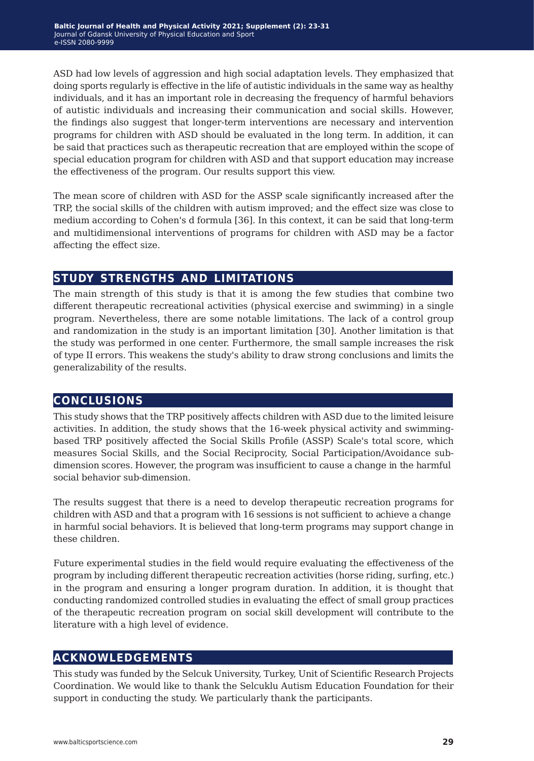ASD had low levels of aggression and high social adaptation levels. They emphasized that doing sports regularly is effective in the life of autistic individuals in the same way as healthy individuals, and it has an important role in decreasing the frequency of harmful behaviors of autistic individuals and increasing their communication and social skills. However, the findings also suggest that longer-term interventions are necessary and intervention programs for children with ASD should be evaluated in the long term. In addition, it can be said that practices such as therapeutic recreation that are employed within the scope of special education program for children with ASD and that support education may increase the effectiveness of the program. Our results support this view.

The mean score of children with ASD for the ASSP scale significantly increased after the TRP, the social skills of the children with autism improved; and the effect size was close to medium according to Cohen's d formula [36]. In this context, it can be said that long-term and multidimensional interventions of programs for children with ASD may be a factor affecting the effect size.

## **study strengths and limitations**

The main strength of this study is that it is among the few studies that combine two different therapeutic recreational activities (physical exercise and swimming) in a single program. Nevertheless, there are some notable limitations. The lack of a control group and randomization in the study is an important limitation [30]. Another limitation is that the study was performed in one center. Furthermore, the small sample increases the risk of type II errors. This weakens the study's ability to draw strong conclusions and limits the generalizability of the results.

## **conclusions**

This study shows that the TRP positively affects children with ASD due to the limited leisure activities. In addition, the study shows that the 16-week physical activity and swimmingbased TRP positively affected the Social Skills Profile (ASSP) Scale's total score, which measures Social Skills, and the Social Reciprocity, Social Participation/Avoidance subdimension scores. However, the program was insufficient to cause a change in the harmful social behavior sub-dimension.

The results suggest that there is a need to develop therapeutic recreation programs for children with ASD and that a program with 16 sessions is not sufficient to achieve a change in harmful social behaviors. It is believed that long-term programs may support change in these children.

Future experimental studies in the field would require evaluating the effectiveness of the program by including different therapeutic recreation activities (horse riding, surfing, etc.) in the program and ensuring a longer program duration. In addition, it is thought that conducting randomized controlled studies in evaluating the effect of small group practices of the therapeutic recreation program on social skill development will contribute to the literature with a high level of evidence.

## **acknowledgements**

This study was funded by the Selcuk University, Turkey, Unit of Scientific Research Projects Coordination. We would like to thank the Selcuklu Autism Education Foundation for their support in conducting the study. We particularly thank the participants.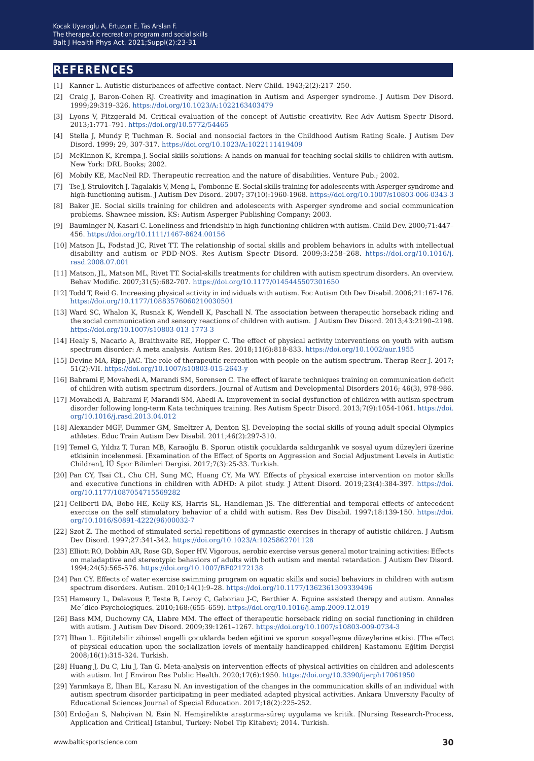### **references**

- [1] Kanner L. Autistic disturbances of affective contact. Nerv Child. 1943;2(2):217–250.
- [2] Craig J, Baron-Cohen RJ. Creativity and imagination in Autism and Asperger syndrome. J Autism Dev Disord. 1999;29:319–326. <https://doi.org/10.1023/A:1022163403479>
- [3] Lyons V, Fitzgerald M. Critical evaluation of the concept of Autistic creativity. Rec Adv Autism Spectr Disord. 2013;1:771–791.<https://doi.org/10.5772/54465>
- [4] Stella J, Mundy P, Tuchman R. Social and nonsocial factors in the Childhood Autism Rating Scale. J Autism Dev Disord. 1999; 29, 307-317. <https://doi.org/10.1023/A:1022111419409>
- [5] McKinnon K, Krempa J. Social skills solutions: A hands-on manual for teaching social skills to children with autism. New York: DRL Books; 2002.
- [6] Mobily KE, MacNeil RD. Therapeutic recreation and the nature of disabilities. Venture Pub.; 2002.
- [7] Tse J, Strulovitch J, Tagalakis V, Meng L, Fombonne E. Social skills training for adolescents with Asperger syndrome and high-functioning autism. J Autism Dev Disord. 2007; 37(10):1960-1968.<https://doi.org/10.1007/s10803-006-0343-3>
- [8] Baker JE. Social skills training for children and adolescents with Asperger syndrome and social communication problems. Shawnee mission, KS: Autism Asperger Publishing Company; 2003.
- [9] Bauminger N, Kasari C. Loneliness and friendship in high-functioning children with autism. Child Dev. 2000;71:447– 456. <https://doi.org/10.1111/1467-8624.00156>
- [10] Matson JL, Fodstad JC, Rivet TT. The relationship of social skills and problem behaviors in adults with intellectual disability and autism or PDD-NOS. Res Autism Spectr Disord. 2009;3:258–268. [https://doi.org/10.1016/j.](https://doi.org/10.1016/j.rasd.2008.07.001) [rasd.2008.07.001](https://doi.org/10.1016/j.rasd.2008.07.001)
- [11] Matson, JL, Matson ML, Rivet TT. Social-skills treatments for children with autism spectrum disorders. An overview. Behav Modific. 2007;31(5):682-707. <https://doi.org/10.1177/0145445507301650>
- [12] Todd T, Reid G. Increasing physical activity in individuals with autism. Foc Autism Oth Dev Disabil. 2006;21:167-176. <https://doi.org/10.1177/10883576060210030501>
- [13] Ward SC, Whalon K, Rusnak K, Wendell K, Paschall N. The association between therapeutic horseback riding and the social communication and sensory reactions of children with autism. J Autism Dev Disord. 2013;43:2190–2198. <https://doi.org/10.1007/s10803-013-1773-3>
- [14] Healy S, Nacario A, Braithwaite RE, Hopper C. The effect of physical activity interventions on youth with autism spectrum disorder: A meta analysis. Autism Res. 2018;11(6):818-833.<https://doi.org/10.1002/aur.1955>
- [15] Devine MA, Ripp JAC. The role of therapeutic recreation with people on the autism spectrum. Therap Recr J. 2017; 51(2):VII. <https://doi.org/10.1007/s10803-015-2643-y>
- [16] Bahrami F, Movahedi A, Marandi SM, Sorensen C. The effect of karate techniques training on communication deficit of children with autism spectrum disorders. Journal of Autism and Developmental Disorders 2016; 46(3), 978-986.
- [17] Movahedi A, Bahrami F, Marandi SM, Abedi A. Improvement in social dysfunction of children with autism spectrum disorder following long-term Kata techniques training. Res Autism Spectr Disord. 2013;7(9):1054-1061. [https://doi.](https://doi.org/10.1016/j.rasd.2013.04.012 ) [org/10.1016/j.rasd.2013.04.012](https://doi.org/10.1016/j.rasd.2013.04.012 )
- [18] Alexander MGF, Dummer GM, Smeltzer A, Denton SJ. Developing the social skills of young adult special Olympics athletes. Educ Train Autism Dev Disabil. 2011;46(2):297-310.
- [19] Temel G, Yıldız T, Turan MB, Karaoğlu B. Sporun otistik çocuklarda saldırganlık ve sosyal uyum düzeyleri üzerine etkisinin incelenmesi. [Examination of the Effect of Sports on Aggression and Social Adjustment Levels in Autistic Children], İÜ Spor Bilimleri Dergisi. 2017;7(3):25-33. Turkish.
- [20] Pan CY, Tsai CL, Chu CH, Sung MC, Huang CY, Ma WY. Effects of physical exercise intervention on motor skills and executive functions in children with ADHD: A pilot study. J Attent Disord. 2019;23(4):384-397. [https://doi.](https://doi.org/10.1177/1087054715569282) [org/10.1177/1087054715569282](https://doi.org/10.1177/1087054715569282)
- [21] Celiberti DA, Bobo HE, Kelly KS, Harris SL, Handleman JS. The differential and temporal effects of antecedent exercise on the self stimulatory behavior of a child with autism. Res Dev Disabil. 1997;18:139-150. [https://doi.](https://doi.org/10.1016/S0891-4222(96)00032-7) [org/10.1016/S0891-4222\(96\)00032-7](https://doi.org/10.1016/S0891-4222(96)00032-7)
- [22] Szot Z. The method of stimulated serial repetitions of gymnastic exercises in therapy of autistic children. J Autism Dev Disord. 1997;27:341-342. <https://doi.org/10.1023/A:1025862701128>
- [23] Elliott RO, Dobbin AR, Rose GD, Soper HV. Vigorous, aerobic exercise versus general motor training activities: Effects on maladaptive and stereotypic behaviors of adults with both autism and mental retardation. J Autism Dev Disord. 1994;24(5):565-576. <https://doi.org/10.1007/BF02172138>
- [24] Pan CY. Effects of water exercise swimming program on aquatic skills and social behaviors in children with autism spectrum disorders. Autism. 2010;14(1):9–28.<https://doi.org/10.1177/1362361309339496>
- [25] Hameury L, Delavous P, Teste B, Leroy C, Gaboriau J-C, Berthier A. Equine assisted therapy and autism. Annales Me´dico-Psychologiques. 2010;168:(655–659). <https://doi.org/10.1016/j.amp.2009.12.019>
- [26] Bass MM, Duchowny CA, Llabre MM. The effect of therapeutic horseback riding on social functioning in children with autism. J Autism Dev Disord. 2009;39:1261–1267. <https://doi.org/10.1007/s10803-009-0734-3>
- [27] İlhan L. Eğitilebilir zihinsel engelli çocuklarda beden eğitimi ve sporun sosyalleşme düzeylerine etkisi. [The effect of physical education upon the socialization levels of mentally handicapped children] Kastamonu Eğitim Dergisi 2008;16(1):315-324. Turkish.
- [28] Huang J, Du C, Liu J, Tan G. Meta-analysis on intervention effects of physical activities on children and adolescents with autism. Int J Environ Res Public Health. 2020;17(6):1950.<https://doi.org/10.3390/ijerph17061950>
- [29] Yarımkaya E, İlhan EL, Karasu N. An investigation of the changes in the communication skills of an individual with autism spectrum disorder participating in peer mediated adapted physical activities. Ankara Unıversıty Faculty of Educational Sciences Journal of Special Education. 2017;18(2):225-252.
- [30] Erdoğan S, Nahçivan N, Esin N. Hemşirelikte araştırma-süreç uygulama ve kritik. [Nursing Research-Process, Application and Critical] Istanbul, Turkey: Nobel Tip Kitabevi; 2014. Turkish.